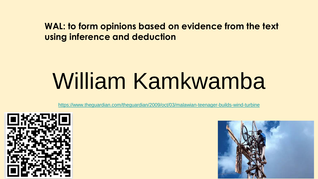#### **WAL: to form opinions based on evidence from the text using inference and deduction**

# William Kamkwamba

<https://www.theguardian.com/theguardian/2009/oct/03/malawian-teenager-builds-wind-turbine>



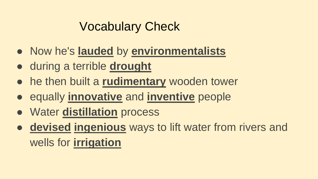### Vocabulary Check

- Now he's **lauded** by **environmentalists**
- during a terrible **drought**
- he then built a **rudimentary** wooden tower
- equally **innovative** and **inventive** people
- Water **distillation** process
- **devised ingenious** ways to lift water from rivers and wells for **irrigation**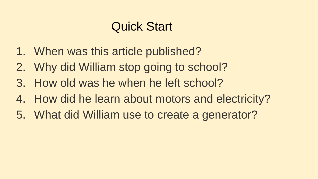### Quick Start

- 1. When was this article published?
- 2. Why did William stop going to school?
- 3. How old was he when he left school?
- 4. How did he learn about motors and electricity?
- 5. What did William use to create a generator?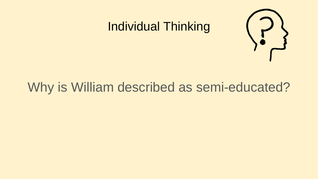### Individual Thinking



### Why is William described as semi-educated?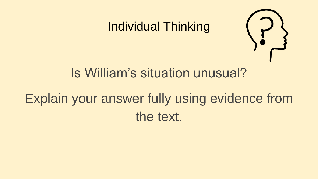### Individual Thinking



### Is William's situation unusual?

### Explain your answer fully using evidence from the text.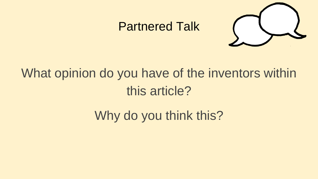#### Partnered Talk



### What opinion do you have of the inventors within this article?

Why do you think this?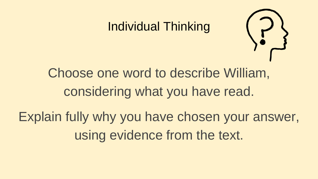### Individual Thinking



### Choose one word to describe William, considering what you have read.

Explain fully why you have chosen your answer, using evidence from the text.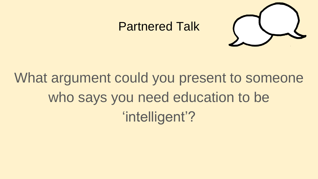#### Partnered Talk



## What argument could you present to someone who says you need education to be 'intelligent'?